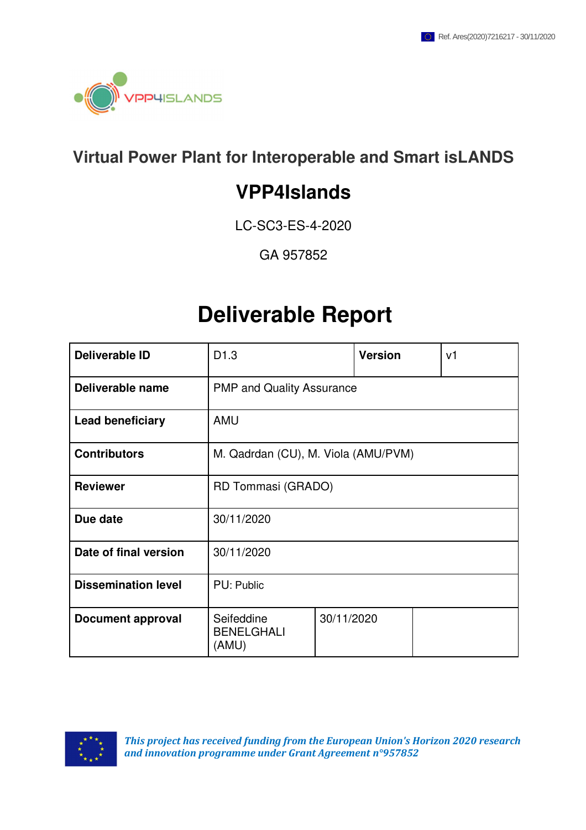

## **Virtual Power Plant for Interoperable and Smart isLANDS**

# **VPP4Islands**

LC-SC3-ES-4-2020

GA 957852

# **Deliverable Report**

| <b>Deliverable ID</b>      | D <sub>1.3</sub>                         |            | <b>Version</b> |  | v <sub>1</sub> |  |  |
|----------------------------|------------------------------------------|------------|----------------|--|----------------|--|--|
| Deliverable name           | <b>PMP and Quality Assurance</b>         |            |                |  |                |  |  |
| <b>Lead beneficiary</b>    | <b>AMU</b>                               |            |                |  |                |  |  |
| <b>Contributors</b>        | M. Qadrdan (CU), M. Viola (AMU/PVM)      |            |                |  |                |  |  |
| <b>Reviewer</b>            | RD Tommasi (GRADO)                       |            |                |  |                |  |  |
| Due date                   | 30/11/2020                               |            |                |  |                |  |  |
| Date of final version      | 30/11/2020                               |            |                |  |                |  |  |
| <b>Dissemination level</b> | PU: Public                               |            |                |  |                |  |  |
| <b>Document approval</b>   | Seifeddine<br><b>BENELGHALI</b><br>(AMU) | 30/11/2020 |                |  |                |  |  |

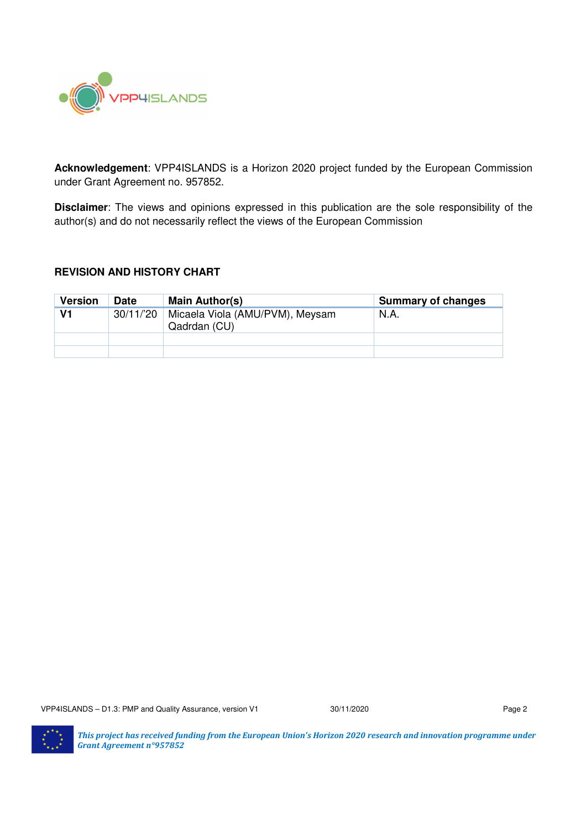

**Acknowledgement**: VPP4ISLANDS is a Horizon 2020 project funded by the European Commission under Grant Agreement no. 957852.

**Disclaimer**: The views and opinions expressed in this publication are the sole responsibility of the author(s) and do not necessarily reflect the views of the European Commission

#### **REVISION AND HISTORY CHART**

| <b>Version</b> | <b>Date</b> | Main Author(s)                                  | <b>Summary of changes</b> |
|----------------|-------------|-------------------------------------------------|---------------------------|
| V1             | 30/11/'20   | Micaela Viola (AMU/PVM), Meysam<br>Qadrdan (CU) | N.A.                      |
|                |             |                                                 |                           |
|                |             |                                                 |                           |

VPP4ISLANDS – D1.3: PMP and Quality Assurance, version V1 30/11/2020 Page 2

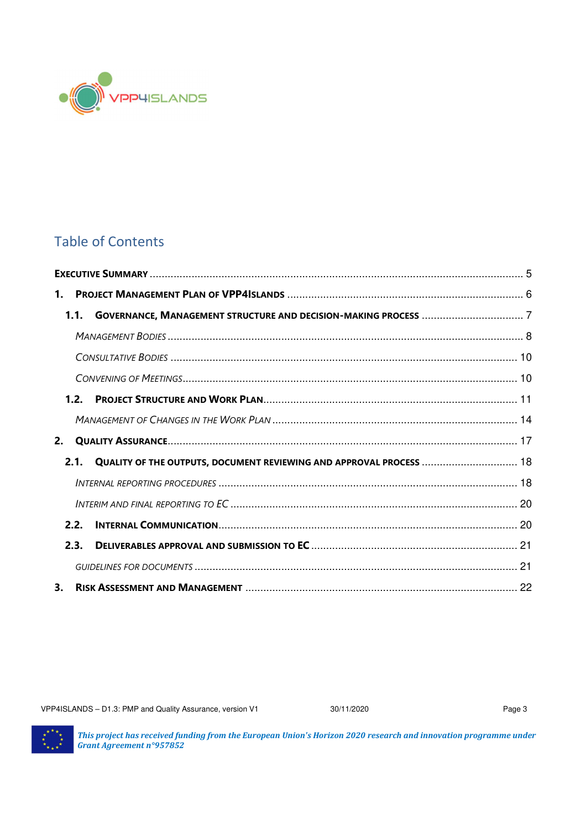

## Table of Contents

| 1. |      |                                                                     |  |
|----|------|---------------------------------------------------------------------|--|
|    | 1.1  |                                                                     |  |
|    |      |                                                                     |  |
|    |      |                                                                     |  |
|    |      |                                                                     |  |
|    | 1.2. |                                                                     |  |
|    |      |                                                                     |  |
| 2. |      |                                                                     |  |
|    | 2.1. | QUALITY OF THE OUTPUTS, DOCUMENT REVIEWING AND APPROVAL PROCESS  18 |  |
|    |      |                                                                     |  |
|    |      |                                                                     |  |
|    | 2.2. |                                                                     |  |
|    | 2.3. |                                                                     |  |
|    |      |                                                                     |  |
| 3. |      |                                                                     |  |

VPP4ISLANDS – D1.3: PMP and Quality Assurance, version V1 30/11/2020 30/11/2020

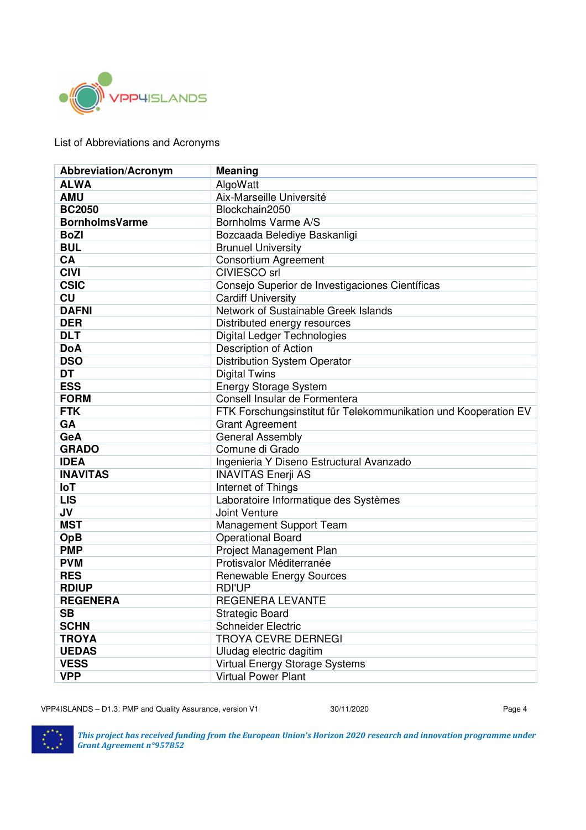

List of Abbreviations and Acronyms

| <b>Abbreviation/Acronym</b> | <b>Meaning</b>                                                  |  |  |  |
|-----------------------------|-----------------------------------------------------------------|--|--|--|
| <b>ALWA</b>                 | AlgoWatt                                                        |  |  |  |
| <b>AMU</b>                  | Aix-Marseille Université                                        |  |  |  |
| <b>BC2050</b>               | Blockchain2050                                                  |  |  |  |
| <b>BornholmsVarme</b>       | Bornholms Varme A/S                                             |  |  |  |
| <b>BoZI</b>                 | Bozcaada Belediye Baskanligi                                    |  |  |  |
| <b>BUL</b>                  | <b>Brunuel University</b>                                       |  |  |  |
| CA                          | <b>Consortium Agreement</b>                                     |  |  |  |
| <b>CIVI</b>                 | <b>CIVIESCO</b> srl                                             |  |  |  |
| <b>CSIC</b>                 | Consejo Superior de Investigaciones Científicas                 |  |  |  |
| <b>CU</b>                   | <b>Cardiff University</b>                                       |  |  |  |
| <b>DAFNI</b>                | Network of Sustainable Greek Islands                            |  |  |  |
| <b>DER</b>                  | Distributed energy resources                                    |  |  |  |
| <b>DLT</b>                  | <b>Digital Ledger Technologies</b>                              |  |  |  |
| <b>DoA</b>                  | Description of Action                                           |  |  |  |
| <b>DSO</b>                  | <b>Distribution System Operator</b>                             |  |  |  |
| <b>DT</b>                   | <b>Digital Twins</b>                                            |  |  |  |
| <b>ESS</b>                  | <b>Energy Storage System</b>                                    |  |  |  |
| <b>FORM</b>                 | Consell Insular de Formentera                                   |  |  |  |
| <b>FTK</b>                  | FTK Forschungsinstitut für Telekommunikation und Kooperation EV |  |  |  |
| GA                          | <b>Grant Agreement</b>                                          |  |  |  |
| GeA                         | <b>General Assembly</b>                                         |  |  |  |
| <b>GRADO</b>                | Comune di Grado                                                 |  |  |  |
| <b>IDEA</b>                 | Ingenieria Y Diseno Estructural Avanzado                        |  |  |  |
| <b>INAVITAS</b>             | <b>INAVITAS Enerji AS</b>                                       |  |  |  |
| <b>IoT</b>                  | Internet of Things                                              |  |  |  |
| <b>LIS</b>                  | Laboratoire Informatique des Systèmes                           |  |  |  |
| JV                          | Joint Venture                                                   |  |  |  |
| <b>MST</b>                  | Management Support Team                                         |  |  |  |
| OpB                         | <b>Operational Board</b>                                        |  |  |  |
| <b>PMP</b>                  | Project Management Plan                                         |  |  |  |
| <b>PVM</b>                  | Protisvalor Méditerranée                                        |  |  |  |
| <b>RES</b>                  | <b>Renewable Energy Sources</b>                                 |  |  |  |
| <b>RDIUP</b>                | <b>RDI'UP</b>                                                   |  |  |  |
| <b>REGENERA</b>             | <b>REGENERA LEVANTE</b>                                         |  |  |  |
| <b>SB</b>                   | <b>Strategic Board</b>                                          |  |  |  |
| <b>SCHN</b>                 | <b>Schneider Electric</b>                                       |  |  |  |
| <b>TROYA</b>                | <b>TROYA CEVRE DERNEGI</b>                                      |  |  |  |
| <b>UEDAS</b>                | Uludag electric dagitim                                         |  |  |  |
| <b>VESS</b>                 | Virtual Energy Storage Systems                                  |  |  |  |
| <b>VPP</b>                  | <b>Virtual Power Plant</b>                                      |  |  |  |

VPP4ISLANDS – D1.3: PMP and Quality Assurance, version V1 30/11/2020 30/11/2020

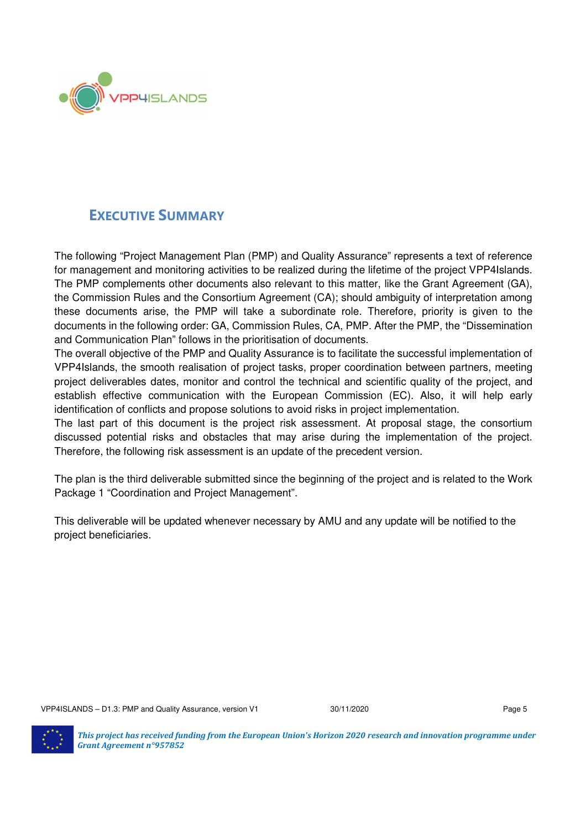

## **EXECUTIVE SUMMARY**

The following "Project Management Plan (PMP) and Quality Assurance" represents a text of reference for management and monitoring activities to be realized during the lifetime of the project VPP4Islands. The PMP complements other documents also relevant to this matter, like the Grant Agreement (GA), the Commission Rules and the Consortium Agreement (CA); should ambiguity of interpretation among these documents arise, the PMP will take a subordinate role. Therefore, priority is given to the documents in the following order: GA, Commission Rules, CA, PMP. After the PMP, the "Dissemination and Communication Plan" follows in the prioritisation of documents.

The overall objective of the PMP and Quality Assurance is to facilitate the successful implementation of VPP4Islands, the smooth realisation of project tasks, proper coordination between partners, meeting project deliverables dates, monitor and control the technical and scientific quality of the project, and establish effective communication with the European Commission (EC). Also, it will help early identification of conflicts and propose solutions to avoid risks in project implementation.

The last part of this document is the project risk assessment. At proposal stage, the consortium discussed potential risks and obstacles that may arise during the implementation of the project. Therefore, the following risk assessment is an update of the precedent version.

The plan is the third deliverable submitted since the beginning of the project and is related to the Work Package 1 "Coordination and Project Management".

This deliverable will be updated whenever necessary by AMU and any update will be notified to the project beneficiaries.

VPP4ISLANDS – D1.3: PMP and Quality Assurance, version V1 30/11/2020 30/11/2020

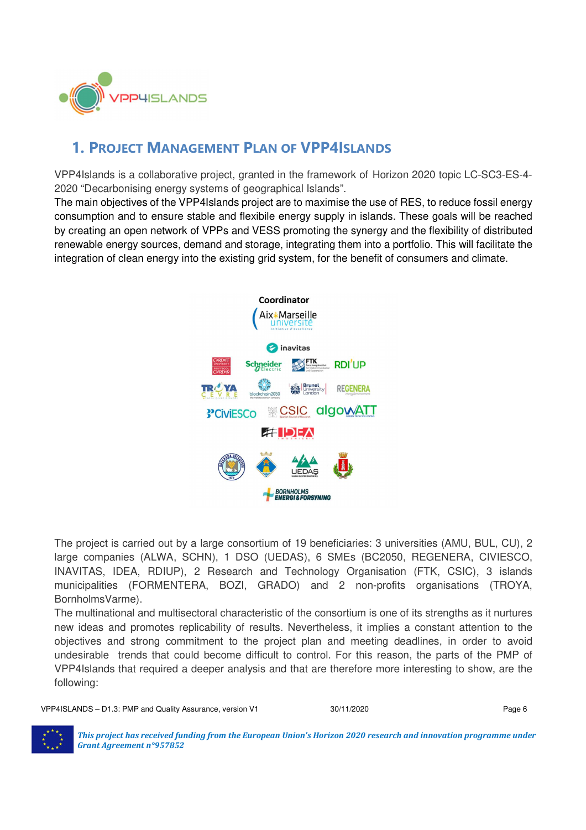

## **1. PROJECT MANAGEMENT PLAN OF VPP4ISLANDS**

VPP4Islands is a collaborative project, granted in the framework of Horizon 2020 topic LC-SC3-ES-4- 2020 "Decarbonising energy systems of geographical Islands".

The main objectives of the VPP4Islands project are to maximise the use of RES, to reduce fossil energy consumption and to ensure stable and flexibile energy supply in islands. These goals will be reached by creating an open network of VPPs and VESS promoting the synergy and the flexibility of distributed renewable energy sources, demand and storage, integrating them into a portfolio. This will facilitate the integration of clean energy into the existing grid system, for the benefit of consumers and climate.



The project is carried out by a large consortium of 19 beneficiaries: 3 universities (AMU, BUL, CU), 2 large companies (ALWA, SCHN), 1 DSO (UEDAS), 6 SMEs (BC2050, REGENERA, CIVIESCO, INAVITAS, IDEA, RDIUP), 2 Research and Technology Organisation (FTK, CSIC), 3 islands municipalities (FORMENTERA, BOZI, GRADO) and 2 non-profits organisations (TROYA, BornholmsVarme).

The multinational and multisectoral characteristic of the consortium is one of its strengths as it nurtures new ideas and promotes replicability of results. Nevertheless, it implies a constant attention to the objectives and strong commitment to the project plan and meeting deadlines, in order to avoid undesirable trends that could become difficult to control. For this reason, the parts of the PMP of VPP4Islands that required a deeper analysis and that are therefore more interesting to show, are the following:

VPP4ISLANDS – D1.3: PMP and Quality Assurance, version V1 30/11/2020 30/11/2020

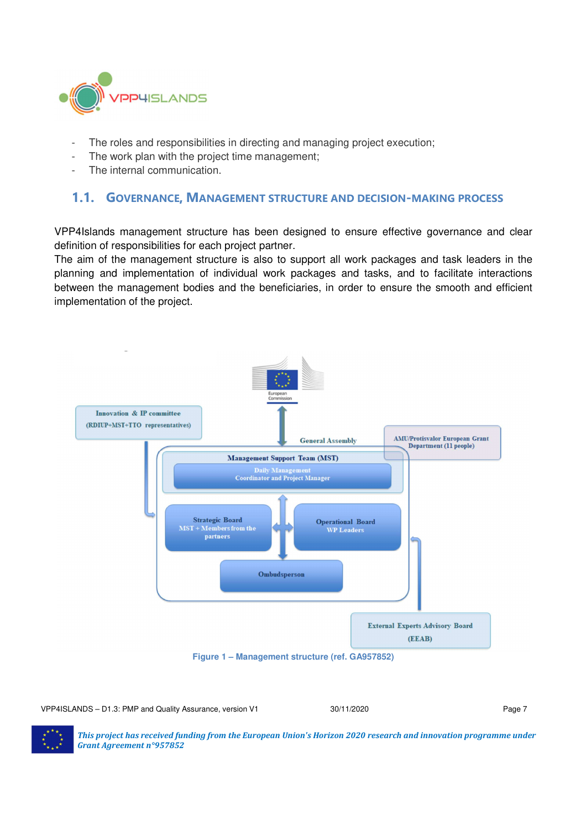

- The roles and responsibilities in directing and managing project execution;
- The work plan with the project time management;
- The internal communication.

#### **1.1. GOVERNANCE, MANAGEMENT STRUCTURE AND DECISION-MAKING PROCESS**

VPP4Islands management structure has been designed to ensure effective governance and clear definition of responsibilities for each project partner.

The aim of the management structure is also to support all work packages and task leaders in the planning and implementation of individual work packages and tasks, and to facilitate interactions between the management bodies and the beneficiaries, in order to ensure the smooth and efficient implementation of the project.



VPP4ISLANDS – D1.3: PMP and Quality Assurance, version V1 30/11/2020 30/11/2020

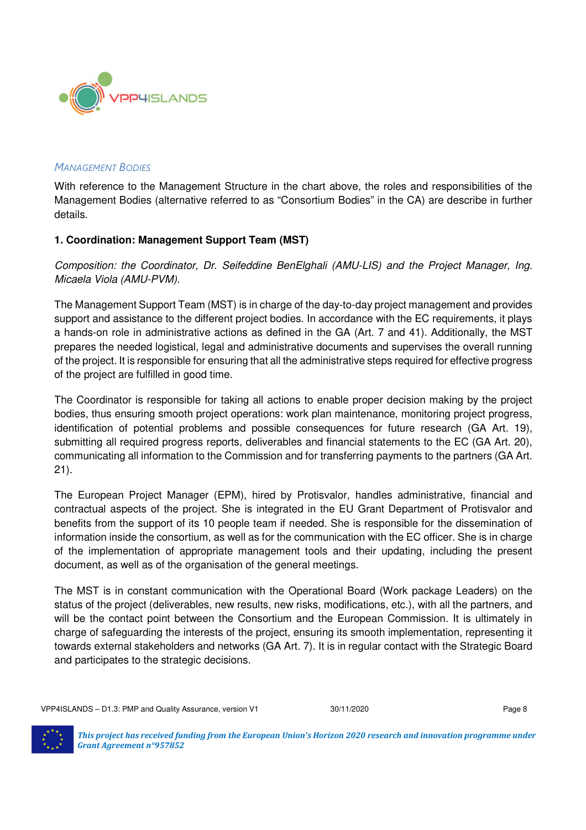

#### *MANAGEMENT BODIES*

With reference to the Management Structure in the chart above, the roles and responsibilities of the Management Bodies (alternative referred to as "Consortium Bodies" in the CA) are describe in further details.

#### **1. Coordination: Management Support Team (MST)**

Composition: the Coordinator, Dr. Seifeddine BenElghali (AMU-LIS) and the Project Manager, Ing. Micaela Viola (AMU-PVM).

The Management Support Team (MST) is in charge of the day-to-day project management and provides support and assistance to the different project bodies. In accordance with the EC requirements, it plays a hands-on role in administrative actions as defined in the GA (Art. 7 and 41). Additionally, the MST prepares the needed logistical, legal and administrative documents and supervises the overall running of the project. It is responsible for ensuring that all the administrative steps required for effective progress of the project are fulfilled in good time.

The Coordinator is responsible for taking all actions to enable proper decision making by the project bodies, thus ensuring smooth project operations: work plan maintenance, monitoring project progress, identification of potential problems and possible consequences for future research (GA Art. 19), submitting all required progress reports, deliverables and financial statements to the EC (GA Art. 20), communicating all information to the Commission and for transferring payments to the partners (GA Art. 21).

The European Project Manager (EPM), hired by Protisvalor, handles administrative, financial and contractual aspects of the project. She is integrated in the EU Grant Department of Protisvalor and benefits from the support of its 10 people team if needed. She is responsible for the dissemination of information inside the consortium, as well as for the communication with the EC officer. She is in charge of the implementation of appropriate management tools and their updating, including the present document, as well as of the organisation of the general meetings.

The MST is in constant communication with the Operational Board (Work package Leaders) on the status of the project (deliverables, new results, new risks, modifications, etc.), with all the partners, and will be the contact point between the Consortium and the European Commission. It is ultimately in charge of safeguarding the interests of the project, ensuring its smooth implementation, representing it towards external stakeholders and networks (GA Art. 7). It is in regular contact with the Strategic Board and participates to the strategic decisions.

VPP4ISLANDS – D1.3: PMP and Quality Assurance, version V1 30/11/2020 30/11/2020

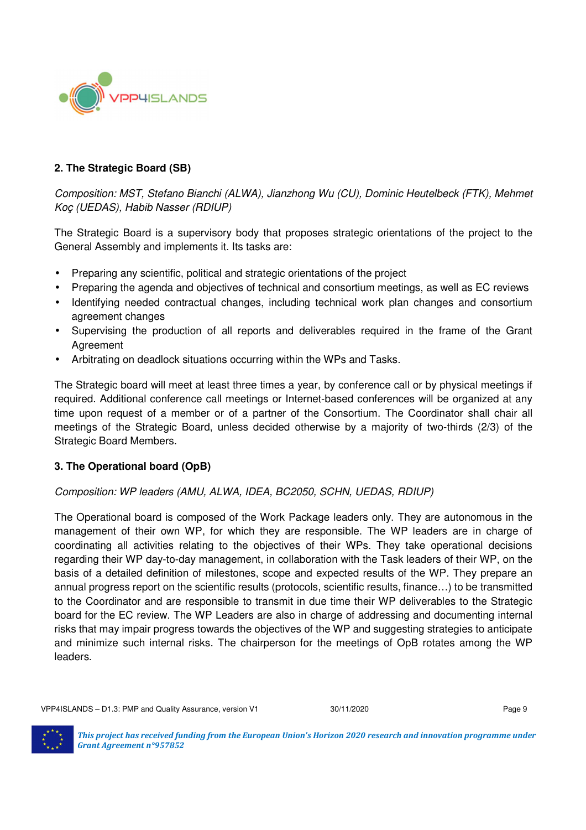

#### **2. The Strategic Board (SB)**

Composition: MST, Stefano Bianchi (ALWA), Jianzhong Wu (CU), Dominic Heutelbeck (FTK), Mehmet Koç (UEDAS), Habib Nasser (RDIUP)

The Strategic Board is a supervisory body that proposes strategic orientations of the project to the General Assembly and implements it. Its tasks are:

- Preparing any scientific, political and strategic orientations of the project
- Preparing the agenda and objectives of technical and consortium meetings, as well as EC reviews
- Identifying needed contractual changes, including technical work plan changes and consortium agreement changes
- Supervising the production of all reports and deliverables required in the frame of the Grant Agreement
- Arbitrating on deadlock situations occurring within the WPs and Tasks.

The Strategic board will meet at least three times a year, by conference call or by physical meetings if required. Additional conference call meetings or Internet-based conferences will be organized at any time upon request of a member or of a partner of the Consortium. The Coordinator shall chair all meetings of the Strategic Board, unless decided otherwise by a majority of two-thirds (2/3) of the Strategic Board Members.

#### **3. The Operational board (OpB)**

#### Composition: WP leaders (AMU, ALWA, IDEA, BC2050, SCHN, UEDAS, RDIUP)

The Operational board is composed of the Work Package leaders only. They are autonomous in the management of their own WP, for which they are responsible. The WP leaders are in charge of coordinating all activities relating to the objectives of their WPs. They take operational decisions regarding their WP day-to-day management, in collaboration with the Task leaders of their WP, on the basis of a detailed definition of milestones, scope and expected results of the WP. They prepare an annual progress report on the scientific results (protocols, scientific results, finance…) to be transmitted to the Coordinator and are responsible to transmit in due time their WP deliverables to the Strategic board for the EC review. The WP Leaders are also in charge of addressing and documenting internal risks that may impair progress towards the objectives of the WP and suggesting strategies to anticipate and minimize such internal risks. The chairperson for the meetings of OpB rotates among the WP leaders.

VPP4ISLANDS – D1.3: PMP and Quality Assurance, version V1 30/11/2020 30/11/2020

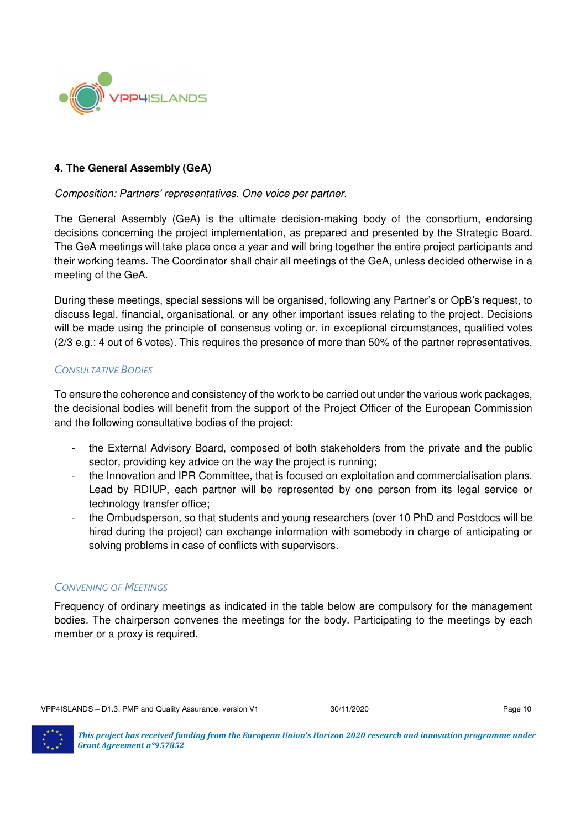

#### **4. The General Assembly (GeA)**

#### Composition: Partners' representatives. One voice per partner.

The General Assembly (GeA) is the ultimate decision-making body of the consortium, endorsing decisions concerning the project implementation, as prepared and presented by the Strategic Board. The GeA meetings will take place once a year and will bring together the entire project participants and their working teams. The Coordinator shall chair all meetings of the GeA, unless decided otherwise in a meeting of the GeA.

During these meetings, special sessions will be organised, following any Partner's or OpB's request, to discuss legal, financial, organisational, or any other important issues relating to the project. Decisions will be made using the principle of consensus voting or, in exceptional circumstances, qualified votes (2/3 e.g.: 4 out of 6 votes). This requires the presence of more than 50% of the partner representatives.

#### *CONSULTATIVE BODIES*

To ensure the coherence and consistency of the work to be carried out under the various work packages, the decisional bodies will benefit from the support of the Project Officer of the European Commission and the following consultative bodies of the project:

- the External Advisory Board, composed of both stakeholders from the private and the public sector, providing key advice on the way the project is running;
- the Innovation and IPR Committee, that is focused on exploitation and commercialisation plans. Lead by RDIUP, each partner will be represented by one person from its legal service or technology transfer office;
- the Ombudsperson, so that students and young researchers (over 10 PhD and Postdocs will be hired during the project) can exchange information with somebody in charge of anticipating or solving problems in case of conflicts with supervisors.

#### *CONVENING OF MEETINGS*

Frequency of ordinary meetings as indicated in the table below are compulsory for the management bodies. The chairperson convenes the meetings for the body. Participating to the meetings by each member or a proxy is required.

VPP4ISLANDS – D1.3: PMP and Quality Assurance, version V1 30/11/2020 30/11/2020

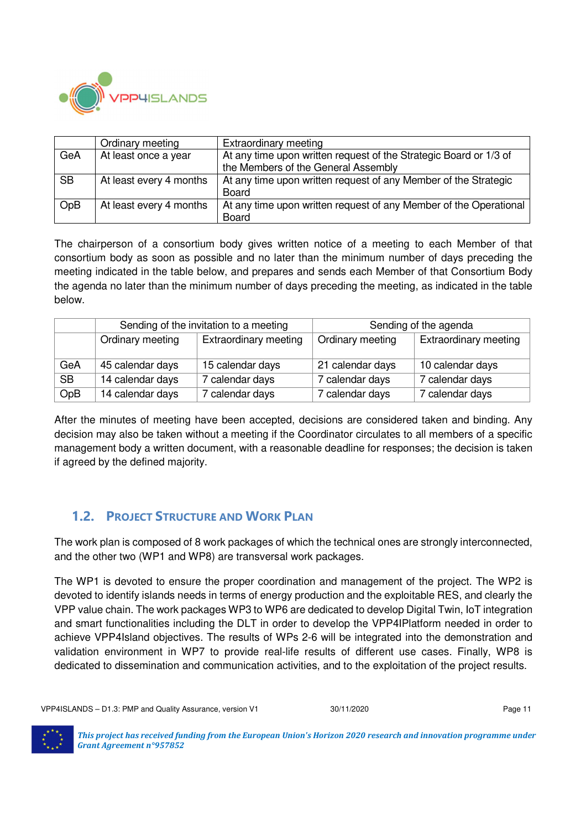

|           | Ordinary meeting        | Extraordinary meeting                                             |
|-----------|-------------------------|-------------------------------------------------------------------|
| GeA       | At least once a year    | At any time upon written request of the Strategic Board or 1/3 of |
|           |                         | the Members of the General Assembly                               |
| <b>SB</b> | At least every 4 months | At any time upon written request of any Member of the Strategic   |
|           |                         | <b>Board</b>                                                      |
| OpB       | At least every 4 months | At any time upon written request of any Member of the Operational |
|           |                         | <b>Board</b>                                                      |

The chairperson of a consortium body gives written notice of a meeting to each Member of that consortium body as soon as possible and no later than the minimum number of days preceding the meeting indicated in the table below, and prepares and sends each Member of that Consortium Body the agenda no later than the minimum number of days preceding the meeting, as indicated in the table below.

|           |                  | Sending of the invitation to a meeting | Sending of the agenda |                              |  |
|-----------|------------------|----------------------------------------|-----------------------|------------------------------|--|
|           | Ordinary meeting | <b>Extraordinary meeting</b>           | Ordinary meeting      | <b>Extraordinary meeting</b> |  |
| GeA       | 45 calendar days | 15 calendar days                       | 21 calendar days      | 10 calendar days             |  |
| <b>SB</b> | 14 calendar days | calendar days                          | 7 calendar days       | 7 calendar days              |  |
| OpB       | 14 calendar days | calendar days                          | 7 calendar days       | 7 calendar days              |  |

After the minutes of meeting have been accepted, decisions are considered taken and binding. Any decision may also be taken without a meeting if the Coordinator circulates to all members of a specific management body a written document, with a reasonable deadline for responses; the decision is taken if agreed by the defined majority.

### **1.2. PROJECT STRUCTURE AND WORK PLAN**

The work plan is composed of 8 work packages of which the technical ones are strongly interconnected, and the other two (WP1 and WP8) are transversal work packages.

The WP1 is devoted to ensure the proper coordination and management of the project. The WP2 is devoted to identify islands needs in terms of energy production and the exploitable RES, and clearly the VPP value chain. The work packages WP3 to WP6 are dedicated to develop Digital Twin, IoT integration and smart functionalities including the DLT in order to develop the VPP4IPlatform needed in order to achieve VPP4Island objectives. The results of WPs 2-6 will be integrated into the demonstration and validation environment in WP7 to provide real-life results of different use cases. Finally, WP8 is dedicated to dissemination and communication activities, and to the exploitation of the project results.

VPP4ISLANDS – D1.3: PMP and Quality Assurance, version V1 30/11/2020 30/11/2020

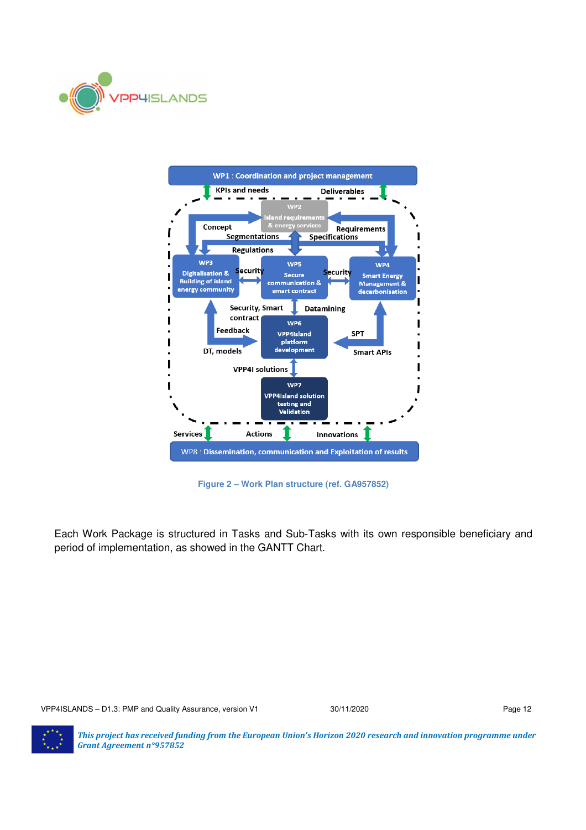



**Figure 2 – Work Plan structure (ref. GA957852)** 

Each Work Package is structured in Tasks and Sub-Tasks with its own responsible beneficiary and period of implementation, as showed in the GANTT Chart.

VPP4ISLANDS – D1.3: PMP and Quality Assurance, version V1 30/11/2020 30/11/2020

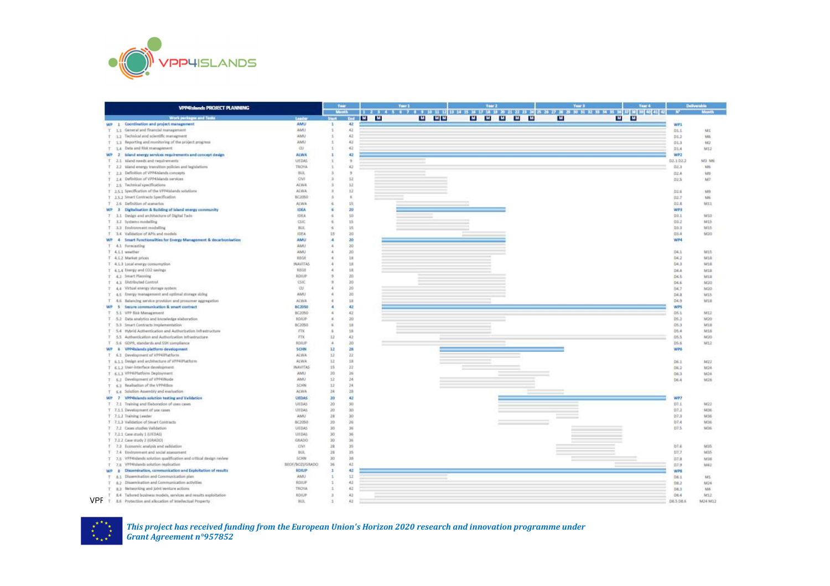

|               | <b>VPP4Islands PROJECT PLANNING</b>                                                  |                        |           |              |            | Tear <sub>1</sub> | Year 2    | Year 3 | 1 2 3 4 5 6 7 8 9 10 11 12 13 14 15 16 17 18 19 20 21 22 23 24 25 26 27 28 29 31 32 33 34 35 36 37 38 40 40 40 40 |              |                 |
|---------------|--------------------------------------------------------------------------------------|------------------------|-----------|--------------|------------|-------------------|-----------|--------|-------------------------------------------------------------------------------------------------------------------|--------------|-----------------|
|               | Work packages and Tasks                                                              | <b>Leader</b>          |           | <b>START</b> | <b>M</b> M | M MM              | M M M M M | M      | <b>M</b> M                                                                                                        |              |                 |
|               | WP 1 Coordination and project management                                             | AMU                    | ÷         | 42           |            |                   |           |        |                                                                                                                   | WP1          |                 |
| $\mathcal{T}$ | 114 General and financial management                                                 | AMU                    |           | 42           |            |                   |           |        |                                                                                                                   | 01.1         | <b>MI</b>       |
|               | T 12 Technical and scientific management                                             | AMU                    |           | 42           |            |                   |           |        |                                                                                                                   | 01.2         | M6              |
|               | + 1.1 Reporting and monitoring of the project progress                               | AMU                    |           | 42           |            |                   |           |        |                                                                                                                   | 01.3         | M2              |
| 五             | 1.4 Data and Itlik management                                                        | <b>CU</b>              |           | 42           |            |                   |           |        |                                                                                                                   | 01.4         | M12             |
| WP            | 2. Island energy services requirements and concept design                            | <b>ALWA</b>            | ı         | 42           |            |                   |           |        |                                                                                                                   | WP2          |                 |
| T.            | 2.1 Island needs and requirements                                                    | <b>LIEDAS</b>          |           |              |            |                   |           |        |                                                                                                                   | 02.1.02.2    | M3 M6           |
|               | T 2.2 histori energy transition policies and legislations                            | TROVA                  |           | 43           |            |                   |           |        |                                                                                                                   | 泊送店          | M6              |
|               | T 3 8 Definition of VPP4 blands companis                                             | BUL                    |           | 3<br>12      |            |                   |           |        |                                                                                                                   | 72.8         | Ns              |
|               | T 2.4 Definition of VPP4 blands services                                             | CIVI<br>AEWA           |           | 12           |            |                   |           |        |                                                                                                                   | 02.5         | M2              |
|               | T 2.5 Technical specifications<br>T 2.5.1 Specification of the VPP4Silends solutions | <b>ALWA</b>            |           | 12           |            |                   |           |        |                                                                                                                   |              |                 |
|               | T 3 S 2 Smart Contracts Specification                                                | 802050                 |           | ×            |            |                   |           |        |                                                                                                                   | 02.6<br>02.7 | M9<br>186       |
|               | 2.6 Definition of approxima-                                                         | ALWA                   |           | 15           |            |                   |           |        |                                                                                                                   | 02.8         | M11             |
|               | WP 3 Digitalization & Suilding of Island energy community                            | <b>IDEA</b>            |           | 20           |            |                   |           |        |                                                                                                                   | <b>WP3</b>   |                 |
|               | T 3.1 Design and architecture of Digital Twin-                                       | <b>IDEA</b>            |           | 10           |            |                   |           |        |                                                                                                                   | 03.1         | M10             |
|               | T 3.2 Systems modelling                                                              | <b>CSIC</b>            |           | 15           |            |                   |           |        |                                                                                                                   | 03.2         | M15             |
|               | T 3.3 Environment.modelling                                                          | <b>BUC</b>             |           | 15           |            |                   |           |        |                                                                                                                   | 083          | M15             |
|               | T 3.4 Validation of APIs and models                                                  | <b>IDEA</b>            | t5        | 20           |            |                   |           |        |                                                                                                                   | 日东本          | M20             |
|               | WP 4 Smart Functionalities for Energy Management & decarbonisation                   | <b>AMU</b>             |           | 20           |            |                   |           |        |                                                                                                                   | WP4          |                 |
|               | T. 4.1 Formcasting                                                                   | AMU                    |           | 20           |            |                   |           |        |                                                                                                                   |              |                 |
|               | T 4.1.1 wouther                                                                      | AMU                    |           | 20           |            |                   |           |        |                                                                                                                   | 34.1         | M15             |
|               | T 4.1.2 Market prices                                                                | REGE                   |           | 18           |            |                   |           |        |                                                                                                                   | 04.2         | M18             |
|               | T 4.1.3 Local energy comumption                                                      | <b>INAVITAS</b>        |           | 11           |            |                   |           |        |                                                                                                                   | 04.3         | M18             |
|               | T 4.1.4 Energy and CO2 savings                                                       | REGE                   |           | 18           |            |                   |           |        |                                                                                                                   | D4.4         | NIE             |
|               | T 4.2 Smart Planning                                                                 | ROILIP                 |           | 20           |            |                   |           |        |                                                                                                                   | D4.5         | MIB             |
|               | T 43 Distributed Control                                                             | -CSIC                  |           | 20           |            |                   |           |        |                                                                                                                   | 04.6         | M20             |
|               | T 4.4 Virtual energy storage system                                                  | <b>CU</b>              |           | 20           |            |                   |           |        |                                                                                                                   | 04.7         | M20             |
|               | T 4.5 Energy in analysment and optimal storage sizing                                | <b>AMH</b>             |           | 20           |            |                   |           |        |                                                                                                                   | D4.0         | M15             |
|               | 4.6 Balanding service provision and prosumer aggregation                             | AFWA                   |           | 18           |            |                   |           |        |                                                                                                                   | $D4-9$       | MIB             |
|               | WP 5 Secore communication & smart contract                                           | <b>BC2050</b>          |           | 42           |            |                   |           |        |                                                                                                                   | <b>WPS</b>   |                 |
|               | T 5.1 VPP Risk Management                                                            | 602050                 |           | $-42$        |            |                   |           |        |                                                                                                                   | 05.1         | M12             |
|               | T 5.2 Data analytics and knowledge staboration.                                      | ROILIP                 |           | 20           |            |                   |           |        |                                                                                                                   | 05.2         | W20             |
|               | T 3.3 Smart Contracts Implementation                                                 | BC2050                 |           | 18           |            |                   |           |        |                                                                                                                   | 05.3         | MIS             |
|               | T - 3.4 Hybrid Acthentication and Authorization Infrastructure                       | FW.                    |           | 18           |            |                   |           |        |                                                                                                                   | 05.4         | M18             |
|               | T 5.5 Authentication and Authorization infrastructure.                               | FIK                    | z2        | 42           |            |                   |           |        |                                                                                                                   | 05.5         | M20             |
|               | T 5.6 GDPR, standards and SSH compliance                                             | <b>ADAUP</b>           | x         | 20           |            |                   |           |        |                                                                                                                   | 05.6         | MIZ             |
|               | WP B VPP4blands platform development                                                 | SCHN                   | 12        | 28           |            |                   |           |        |                                                                                                                   | <b>WINS</b>  |                 |
|               | T 6.1 Development of VPPAIPIatform                                                   | <b>ALWA</b>            | 工艺        | 22           |            |                   |           |        |                                                                                                                   |              |                 |
|               | T = 1 1 Design and architecture of VPPAIPLatform                                     | ALWA.                  | 32        | 12           |            |                   |           |        |                                                                                                                   | 06.1         | MZZ             |
|               | T E12 User-Interface development.                                                    | <b><i>INAWITAS</i></b> | 15        | 22           |            |                   |           |        |                                                                                                                   | 06.2         | M24             |
|               | T 4.1.3 VPP6Platform Deployment                                                      | AMU                    | 30        | 36           |            |                   |           |        |                                                                                                                   | 06.9         | M24             |
|               | T 6.2 Development of VPP4Wode                                                        | AMU                    | 12        | 34           |            |                   |           |        |                                                                                                                   | <b>D6.4</b>  | 9,62.6          |
|               | T 63 Realisation of the VPP43box                                                     | SCHN                   | 12        | 34           |            |                   |           |        |                                                                                                                   |              |                 |
|               | T E.4 Solution Assembly and evaluation                                               | <b>Arwa</b>            | 24        | 28           |            |                   |           |        |                                                                                                                   |              |                 |
|               | WP 7 VPP4hlands solution testing and Validation                                      | <b>UEDAS</b>           | 20        | 42           |            |                   |           |        |                                                                                                                   | WP7          |                 |
|               | T 7.1 Training and Elaboration of costs cases                                        | <b>UEDAS</b>           | 20        | 50           |            |                   |           |        |                                                                                                                   | 13.1         | M22             |
|               | T 7.1.1 Development of use cases                                                     | LIEDAS                 | $20 - 10$ | 30           |            |                   |           |        |                                                                                                                   | 07.2         | 1436            |
|               | T 7.1.2 Training Leader                                                              | AMU                    | 28        | 30           |            |                   |           |        |                                                                                                                   | 07.3         | M36             |
|               | T 7.1.3 Validation of Smart Contracts                                                | 8/2050                 | 20        | 36           |            |                   |           |        |                                                                                                                   | 07.4         | M36             |
|               | T 7.2 Cases studies Validation                                                       | <b>UEDAS</b>           | 50        | 36           |            |                   |           |        |                                                                                                                   | 07.5         | M36             |
|               | T 7.2.5 Cane study 1 (UEDAS)                                                         | LIEDAS                 | 30        | 36           |            |                   |           |        |                                                                                                                   |              |                 |
|               | T 7.2.2 Cave study 2 (GRADO)                                                         | GRADO                  | 30        | 36           |            |                   |           |        |                                                                                                                   |              |                 |
|               | T 7.3 Economic analysis and validation                                               | CW                     | 28        | 59           |            |                   |           |        |                                                                                                                   | 07.6         | M <sub>35</sub> |
|               | T 7.4 Environment and social assessment                                              | <b>BUL</b>             | 28        | 35           |            |                   |           |        |                                                                                                                   | 07.7         | M35             |
|               | T 7.5 VPP4/slands selution qualification and critical design review                  | SCHN                   | 30        | 38           |            |                   |           |        |                                                                                                                   | 07.8         | M38             |
|               | T 7.E VPP4/slands solution replication                                               | DOM/NOZVERADO          | 36        | 42           |            |                   |           |        |                                                                                                                   | 07.9         | MA2             |
| WP B          | Dissemination, communication and Exploitation of results                             | <b>ROILIP</b>          | t         | 42           |            |                   |           |        |                                                                                                                   | <b>WPS</b>   |                 |
|               | T 8.1 Dissemination and Communication plan                                           | AMU                    | ÷.        | 11           |            |                   |           |        |                                                                                                                   | DB I         | M1              |
|               | T 8.2 Dissemination and Communication activities                                     | ROILIF                 |           | 42           |            |                   |           |        |                                                                                                                   | 08.2         | M24             |
| T.            | 8:3 Networking and John venture actions                                              | TROYA                  |           | 42           |            |                   |           |        |                                                                                                                   | 08.3         | M4              |
|               | 8.4 Tallored business readels, services and results exploitation                     | <b>NDIGIP</b>          |           | 42           |            |                   |           |        |                                                                                                                   | 08.4         | MIZ             |
| VPF           | T. 8.6 Protection and allocation of Intellectual Property                            | <b>HUL</b>             |           | k3           |            |                   |           |        |                                                                                                                   | DE3 DB.6     | M24 M12         |

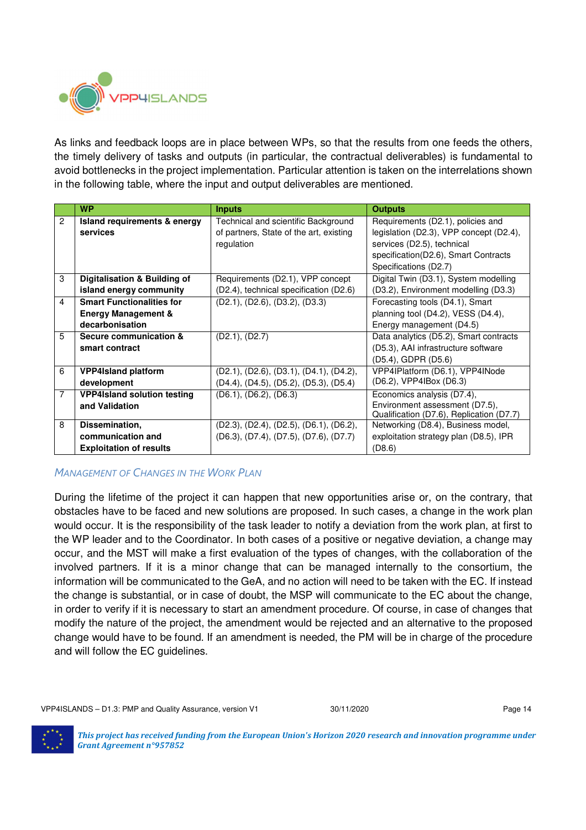

As links and feedback loops are in place between WPs, so that the results from one feeds the others, the timely delivery of tasks and outputs (in particular, the contractual deliverables) is fundamental to avoid bottlenecks in the project implementation. Particular attention is taken on the interrelations shown in the following table, where the input and output deliverables are mentioned.

|                | <b>WP</b>                          | <b>Inputs</b>                             | <b>Outputs</b>                           |
|----------------|------------------------------------|-------------------------------------------|------------------------------------------|
| $\mathbf{2}$   | Island requirements & energy       | Technical and scientific Background       | Requirements (D2.1), policies and        |
|                | services                           | of partners, State of the art, existing   | legislation (D2.3), VPP concept (D2.4),  |
|                |                                    | regulation                                | services (D2.5), technical               |
|                |                                    |                                           | specification(D2.6), Smart Contracts     |
|                |                                    |                                           | Specifications (D2.7)                    |
| 3              | Digitalisation & Building of       | Requirements (D2.1), VPP concept          | Digital Twin (D3.1), System modelling    |
|                | island energy community            | (D2.4), technical specification (D2.6)    | (D3.2), Environment modelling (D3.3)     |
| 4              | <b>Smart Functionalities for</b>   | $(D2.1)$ , $(D2.6)$ , $(D3.2)$ , $(D3.3)$ | Forecasting tools (D4.1), Smart          |
|                | <b>Energy Management &amp;</b>     |                                           | planning tool (D4.2), VESS (D4.4),       |
|                | decarbonisation                    |                                           | Energy management (D4.5)                 |
| 5              | Secure communication &             | (D2.1), (D2.7)                            | Data analytics (D5.2), Smart contracts   |
|                | smart contract                     |                                           | (D5.3), AAI infrastructure software      |
|                |                                    |                                           | (D5.4), GDPR (D5.6)                      |
| 6              | <b>VPP4Island platform</b>         | (D2.1), (D2.6), (D3.1), (D4.1), (D4.2),   | VPP4IPlatform (D6.1), VPP4INode          |
|                | development                        | (D4.4), (D4.5), (D5.2), (D5.3), (D5.4)    | (D6.2), VPP4IBox (D6.3)                  |
| $\overline{7}$ | <b>VPP4Island solution testing</b> | (D6.1), (D6.2), (D6.3)                    | Economics analysis (D7.4),               |
|                | and Validation                     |                                           | Environment assessment (D7.5),           |
|                |                                    |                                           | Qualification (D7.6), Replication (D7.7) |
| 8              | Dissemination,                     | (D2.3), (D2.4), (D2.5), (D6.1), (D6.2),   | Networking (D8.4), Business model,       |
|                | communication and                  | (D6.3), (D7.4), (D7.5), (D7.6), (D7.7)    | exploitation strategy plan (D8.5), IPR   |
|                | <b>Exploitation of results</b>     |                                           | (D8.6)                                   |

*MANAGEMENT OF CHANGES IN THE WORK PLAN*

During the lifetime of the project it can happen that new opportunities arise or, on the contrary, that obstacles have to be faced and new solutions are proposed. In such cases, a change in the work plan would occur. It is the responsibility of the task leader to notify a deviation from the work plan, at first to the WP leader and to the Coordinator. In both cases of a positive or negative deviation, a change may occur, and the MST will make a first evaluation of the types of changes, with the collaboration of the involved partners. If it is a minor change that can be managed internally to the consortium, the information will be communicated to the GeA, and no action will need to be taken with the EC. If instead the change is substantial, or in case of doubt, the MSP will communicate to the EC about the change, in order to verify if it is necessary to start an amendment procedure. Of course, in case of changes that modify the nature of the project, the amendment would be rejected and an alternative to the proposed change would have to be found. If an amendment is needed, the PM will be in charge of the procedure and will follow the EC guidelines.

VPP4ISLANDS – D1.3: PMP and Quality Assurance, version V1 30/11/2020 30/11/2020

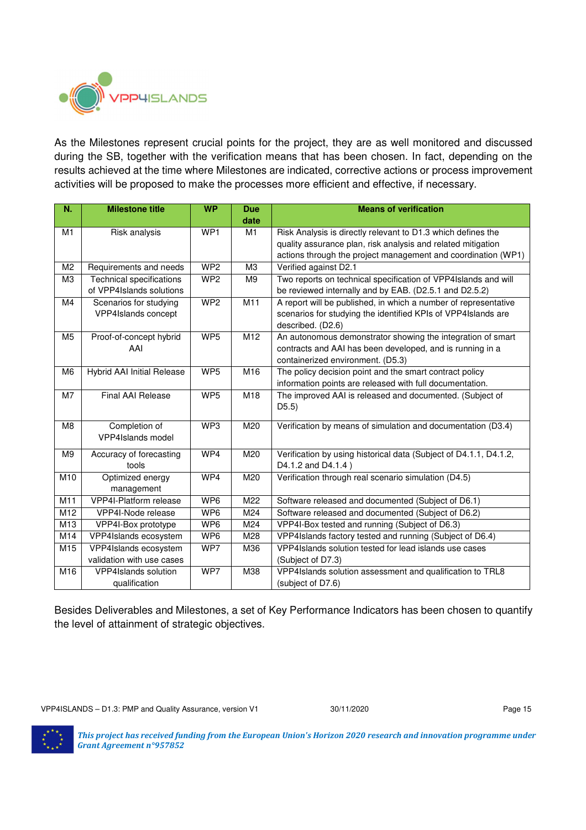

As the Milestones represent crucial points for the project, they are as well monitored and discussed during the SB, together with the verification means that has been chosen. In fact, depending on the results achieved at the time where Milestones are indicated, corrective actions or process improvement activities will be proposed to make the processes more efficient and effective, if necessary.

| N.             | <b>Milestone title</b>            | <b>WP</b>       | <b>Due</b>     | <b>Means of verification</b>                                      |
|----------------|-----------------------------------|-----------------|----------------|-------------------------------------------------------------------|
|                |                                   |                 | date           |                                                                   |
| M1             | Risk analysis                     | WP <sub>1</sub> | M1             | Risk Analysis is directly relevant to D1.3 which defines the      |
|                |                                   |                 |                | quality assurance plan, risk analysis and related mitigation      |
|                |                                   |                 |                | actions through the project management and coordination (WP1)     |
| M <sub>2</sub> | Requirements and needs            | WP2             | M <sub>3</sub> | Verified against D2.1                                             |
| M <sub>3</sub> | <b>Technical specifications</b>   | WP <sub>2</sub> | M <sub>9</sub> | Two reports on technical specification of VPP4Islands and will    |
|                | of VPP4Islands solutions          |                 |                | be reviewed internally and by EAB. (D2.5.1 and D2.5.2)            |
| M4             | Scenarios for studying            | WP <sub>2</sub> | M11            | A report will be published, in which a number of representative   |
|                | VPP4Islands concept               |                 |                | scenarios for studying the identified KPIs of VPP4Islands are     |
|                |                                   |                 |                | described. (D2.6)                                                 |
| M <sub>5</sub> | Proof-of-concept hybrid           | WP <sub>5</sub> | M12            | An autonomous demonstrator showing the integration of smart       |
|                | AAI                               |                 |                | contracts and AAI has been developed, and is running in a         |
|                |                                   |                 |                | containerized environment. (D5.3)                                 |
| M <sub>6</sub> | <b>Hybrid AAI Initial Release</b> | WP <sub>5</sub> | M16            | The policy decision point and the smart contract policy           |
|                |                                   |                 |                | information points are released with full documentation.          |
| M7             | <b>Final AAI Release</b>          | WP <sub>5</sub> | M18            | The improved AAI is released and documented. (Subject of          |
|                |                                   |                 |                | D5.5)                                                             |
| M <sub>8</sub> | Completion of                     | WP3             | M20            | Verification by means of simulation and documentation (D3.4)      |
|                | VPP4Islands model                 |                 |                |                                                                   |
|                |                                   |                 |                |                                                                   |
| M <sub>9</sub> | Accuracy of forecasting           | WP4             | M20            | Verification by using historical data (Subject of D4.1.1, D4.1.2, |
|                | tools                             |                 |                | D4.1.2 and D4.1.4)                                                |
| M10            | Optimized energy                  | WP4             | M20            | Verification through real scenario simulation (D4.5)              |
|                | management                        |                 |                |                                                                   |
| M11            | VPP4I-Platform release            | WP <sub>6</sub> | M22            | Software released and documented (Subject of D6.1)                |
| M12            | VPP4I-Node release                | WP6             | M24            | Software released and documented (Subject of D6.2)                |
| M13            | VPP4I-Box prototype               | WP6             | M24            | VPP4I-Box tested and running (Subject of D6.3)                    |
| M14            | VPP4Islands ecosystem             | WP6             | M28            | VPP4Islands factory tested and running (Subject of D6.4)          |
| M15            | VPP4Islands ecosystem             | WP7             | M36            | VPP4Islands solution tested for lead islands use cases            |
|                | validation with use cases         |                 |                | (Subject of D7.3)                                                 |
| M16            | VPP4Islands solution              | WP7             | M38            | VPP4Islands solution assessment and qualification to TRL8         |
|                | qualification                     |                 |                | (subject of D7.6)                                                 |

Besides Deliverables and Milestones, a set of Key Performance Indicators has been chosen to quantify the level of attainment of strategic objectives.

VPP4ISLANDS - D1.3: PMP and Quality Assurance, version V1 30/11/2020 30/11/2020

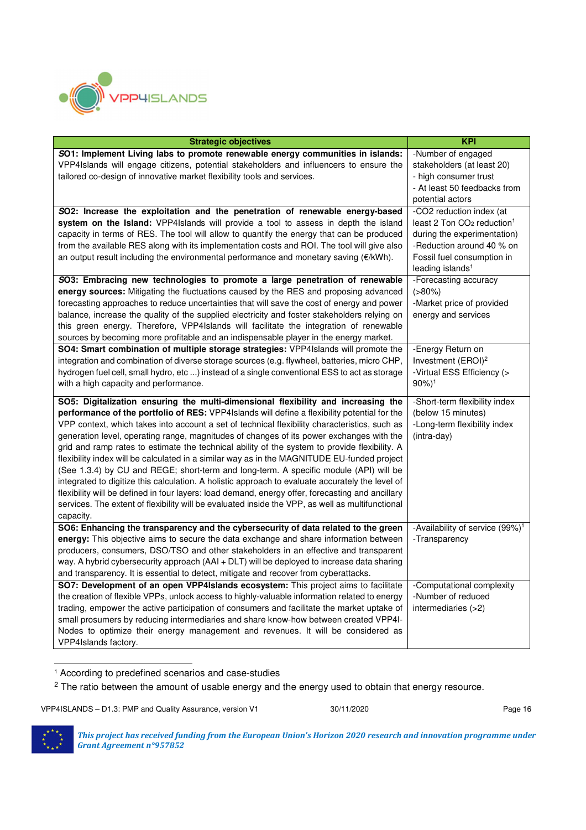

| <b>Strategic objectives</b>                                                                         | <b>KPI</b>                                                 |
|-----------------------------------------------------------------------------------------------------|------------------------------------------------------------|
| SO1: Implement Living labs to promote renewable energy communities in islands:                      | -Number of engaged                                         |
| VPP4Islands will engage citizens, potential stakeholders and influencers to ensure the              | stakeholders (at least 20)                                 |
| tailored co-design of innovative market flexibility tools and services.                             | - high consumer trust                                      |
|                                                                                                     | - At least 50 feedbacks from                               |
|                                                                                                     | potential actors                                           |
| SO2: Increase the exploitation and the penetration of renewable energy-based                        | -CO2 reduction index (at                                   |
| system on the Island: VPP4Islands will provide a tool to assess in depth the island                 | least 2 Ton $CO2$ reduction <sup>1</sup>                   |
| capacity in terms of RES. The tool will allow to quantify the energy that can be produced           | during the experimentation)                                |
| from the available RES along with its implementation costs and ROI. The tool will give also         | -Reduction around 40 % on                                  |
| an output result including the environmental performance and monetary saving (€/kWh).               | Fossil fuel consumption in<br>leading islands <sup>1</sup> |
| SO3: Embracing new technologies to promote a large penetration of renewable                         | -Forecasting accuracy                                      |
| energy sources: Mitigating the fluctuations caused by the RES and proposing advanced                | $( > 80\%)$                                                |
| forecasting approaches to reduce uncertainties that will save the cost of energy and power          | -Market price of provided                                  |
| balance, increase the quality of the supplied electricity and foster stakeholders relying on        | energy and services                                        |
| this green energy. Therefore, VPP4Islands will facilitate the integration of renewable              |                                                            |
| sources by becoming more profitable and an indispensable player in the energy market.               |                                                            |
| SO4: Smart combination of multiple storage strategies: VPP4Islands will promote the                 | -Energy Return on                                          |
| integration and combination of diverse storage sources (e.g. flywheel, batteries, micro CHP,        | Investment (EROI) <sup>2</sup>                             |
| hydrogen fuel cell, small hydro, etc ) instead of a single conventional ESS to act as storage       | -Virtual ESS Efficiency (>                                 |
| with a high capacity and performance.                                                               | $90\%)$ <sup>1</sup>                                       |
| SO5: Digitalization ensuring the multi-dimensional flexibility and increasing the                   | -Short-term flexibility index                              |
| <b>performance of the portfolio of RES:</b> VPP4Islands will define a flexibility potential for the | (below 15 minutes)                                         |
| VPP context, which takes into account a set of technical flexibility characteristics, such as       | -Long-term flexibility index                               |
| generation level, operating range, magnitudes of changes of its power exchanges with the            | (intra-day)                                                |
| grid and ramp rates to estimate the technical ability of the system to provide flexibility. A       |                                                            |
| flexibility index will be calculated in a similar way as in the MAGNITUDE EU-funded project         |                                                            |
| (See 1.3.4) by CU and REGE; short-term and long-term. A specific module (API) will be               |                                                            |
| integrated to digitize this calculation. A holistic approach to evaluate accurately the level of    |                                                            |
| flexibility will be defined in four layers: load demand, energy offer, forecasting and ancillary    |                                                            |
| services. The extent of flexibility will be evaluated inside the VPP, as well as multifunctional    |                                                            |
| capacity.                                                                                           |                                                            |
| SO6: Enhancing the transparency and the cybersecurity of data related to the green                  | -Availability of service (99%) <sup>1</sup>                |
| energy: This objective aims to secure the data exchange and share information between               | -Transparency                                              |
| producers, consumers, DSO/TSO and other stakeholders in an effective and transparent                |                                                            |
| way. A hybrid cybersecurity approach (AAI + DLT) will be deployed to increase data sharing          |                                                            |
| and transparency. It is essential to detect, mitigate and recover from cyberattacks.                |                                                            |
| SO7: Development of an open VPP4Islands ecosystem: This project aims to facilitate                  | -Computational complexity                                  |
| the creation of flexible VPPs, unlock access to highly-valuable information related to energy       | -Number of reduced                                         |
| trading, empower the active participation of consumers and facilitate the market uptake of          | intermediaries (>2)                                        |
| small prosumers by reducing intermediaries and share know-how between created VPP4I-                |                                                            |
| Nodes to optimize their energy management and revenues. It will be considered as                    |                                                            |
| VPP4Islands factory.                                                                                |                                                            |

 $\overline{a}$ <sup>1</sup> According to predefined scenarios and case-studies

 $2$  The ratio between the amount of usable energy and the energy used to obtain that energy resource.

VPP4ISLANDS – D1.3: PMP and Quality Assurance, version V1 30/11/2020 30/11/2020

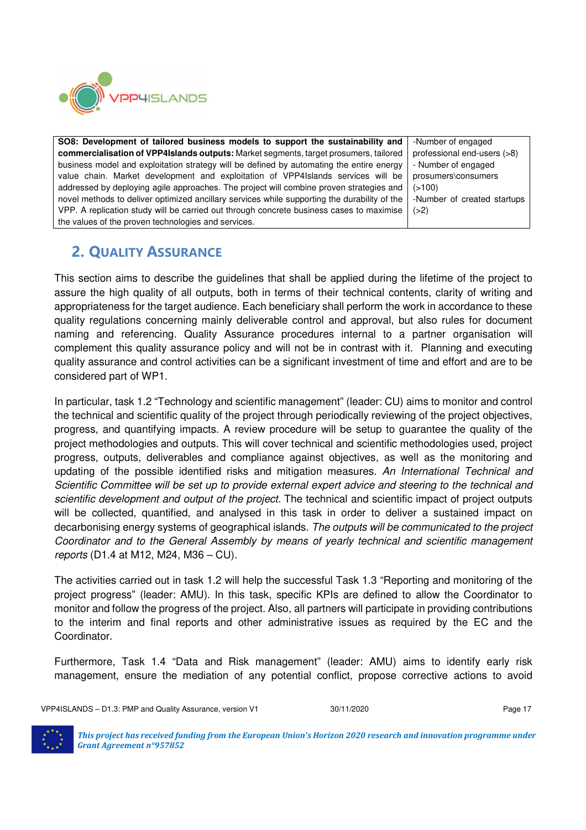

**SO8: Development of tailored business models to support the sustainability and commercialisation of VPP4Islands outputs:** Market segments, target prosumers, tailored business model and exploitation strategy will be defined by automating the entire energy value chain. Market development and exploitation of VPP4Islands services will be addressed by deploying agile approaches. The project will combine proven strategies and novel methods to deliver optimized ancillary services while supporting the durability of the VPP. A replication study will be carried out through concrete business cases to maximise the values of the proven technologies and services. -Number of engaged professional end-users (>8) - Number of engaged prosumers\consumers  $(>100)$ -Number of created startups  $(>2)$ 

## **2. QUALITY ASSURANCE**

This section aims to describe the guidelines that shall be applied during the lifetime of the project to assure the high quality of all outputs, both in terms of their technical contents, clarity of writing and appropriateness for the target audience. Each beneficiary shall perform the work in accordance to these quality regulations concerning mainly deliverable control and approval, but also rules for document naming and referencing. Quality Assurance procedures internal to a partner organisation will complement this quality assurance policy and will not be in contrast with it. Planning and executing quality assurance and control activities can be a significant investment of time and effort and are to be considered part of WP1.

In particular, task 1.2 "Technology and scientific management" (leader: CU) aims to monitor and control the technical and scientific quality of the project through periodically reviewing of the project objectives, progress, and quantifying impacts. A review procedure will be setup to guarantee the quality of the project methodologies and outputs. This will cover technical and scientific methodologies used, project progress, outputs, deliverables and compliance against objectives, as well as the monitoring and updating of the possible identified risks and mitigation measures. An International Technical and Scientific Committee will be set up to provide external expert advice and steering to the technical and scientific development and output of the project. The technical and scientific impact of project outputs will be collected, quantified, and analysed in this task in order to deliver a sustained impact on decarbonising energy systems of geographical islands. The outputs will be communicated to the project Coordinator and to the General Assembly by means of yearly technical and scientific management reports (D1.4 at M12, M24, M36 – CU).

The activities carried out in task 1.2 will help the successful Task 1.3 "Reporting and monitoring of the project progress" (leader: AMU). In this task, specific KPIs are defined to allow the Coordinator to monitor and follow the progress of the project. Also, all partners will participate in providing contributions to the interim and final reports and other administrative issues as required by the EC and the Coordinator.

Furthermore, Task 1.4 "Data and Risk management" (leader: AMU) aims to identify early risk management, ensure the mediation of any potential conflict, propose corrective actions to avoid

VPP4ISLANDS - D1.3: PMP and Quality Assurance, version V1 30/11/2020 30/11/2020

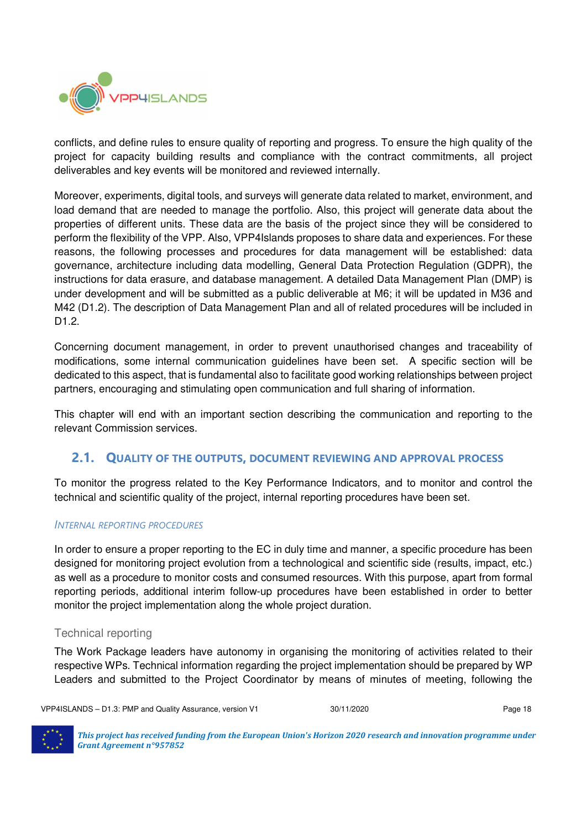

conflicts, and define rules to ensure quality of reporting and progress. To ensure the high quality of the project for capacity building results and compliance with the contract commitments, all project deliverables and key events will be monitored and reviewed internally.

Moreover, experiments, digital tools, and surveys will generate data related to market, environment, and load demand that are needed to manage the portfolio. Also, this project will generate data about the properties of different units. These data are the basis of the project since they will be considered to perform the flexibility of the VPP. Also, VPP4Islands proposes to share data and experiences. For these reasons, the following processes and procedures for data management will be established: data governance, architecture including data modelling, General Data Protection Regulation (GDPR), the instructions for data erasure, and database management. A detailed Data Management Plan (DMP) is under development and will be submitted as a public deliverable at M6; it will be updated in M36 and M42 (D1.2). The description of Data Management Plan and all of related procedures will be included in D1.2.

Concerning document management, in order to prevent unauthorised changes and traceability of modifications, some internal communication guidelines have been set. A specific section will be dedicated to this aspect, that is fundamental also to facilitate good working relationships between project partners, encouraging and stimulating open communication and full sharing of information.

This chapter will end with an important section describing the communication and reporting to the relevant Commission services.

#### **2.1. QUALITY OF THE OUTPUTS, DOCUMENT REVIEWING AND APPROVAL PROCESS**

To monitor the progress related to the Key Performance Indicators, and to monitor and control the technical and scientific quality of the project, internal reporting procedures have been set.

#### *INTERNAL REPORTING PROCEDURES*

In order to ensure a proper reporting to the EC in duly time and manner, a specific procedure has been designed for monitoring project evolution from a technological and scientific side (results, impact, etc.) as well as a procedure to monitor costs and consumed resources. With this purpose, apart from formal reporting periods, additional interim follow-up procedures have been established in order to better monitor the project implementation along the whole project duration.

#### Technical reporting

The Work Package leaders have autonomy in organising the monitoring of activities related to their respective WPs. Technical information regarding the project implementation should be prepared by WP Leaders and submitted to the Project Coordinator by means of minutes of meeting, following the

VPP4ISLANDS – D1.3: PMP and Quality Assurance, version V1 30/11/2020 30/11/2020

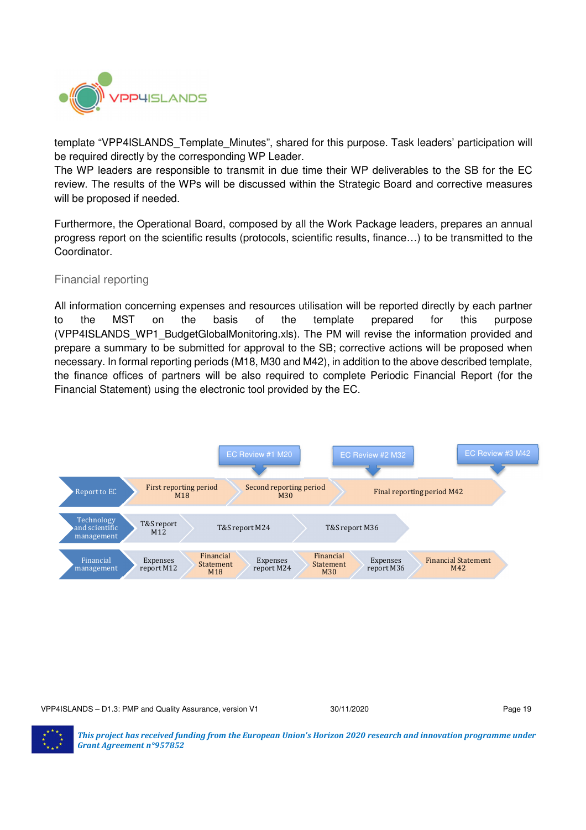

template "VPP4ISLANDS Template Minutes", shared for this purpose. Task leaders' participation will be required directly by the corresponding WP Leader.

The WP leaders are responsible to transmit in due time their WP deliverables to the SB for the EC review. The results of the WPs will be discussed within the Strategic Board and corrective measures will be proposed if needed.

Furthermore, the Operational Board, composed by all the Work Package leaders, prepares an annual progress report on the scientific results (protocols, scientific results, finance…) to be transmitted to the Coordinator.

#### Financial reporting

All information concerning expenses and resources utilisation will be reported directly by each partner to the MST on the basis of the template prepared for this purpose (VPP4ISLANDS\_WP1\_BudgetGlobalMonitoring.xls). The PM will revise the information provided and prepare a summary to be submitted for approval to the SB; corrective actions will be proposed when necessary. In formal reporting periods (M18, M30 and M42), in addition to the above described template, the finance offices of partners will be also required to complete Periodic Financial Report (for the Financial Statement) using the electronic tool provided by the EC.



VPP4ISLANDS – D1.3: PMP and Quality Assurance, version V1 30/11/2020 30/11/2020

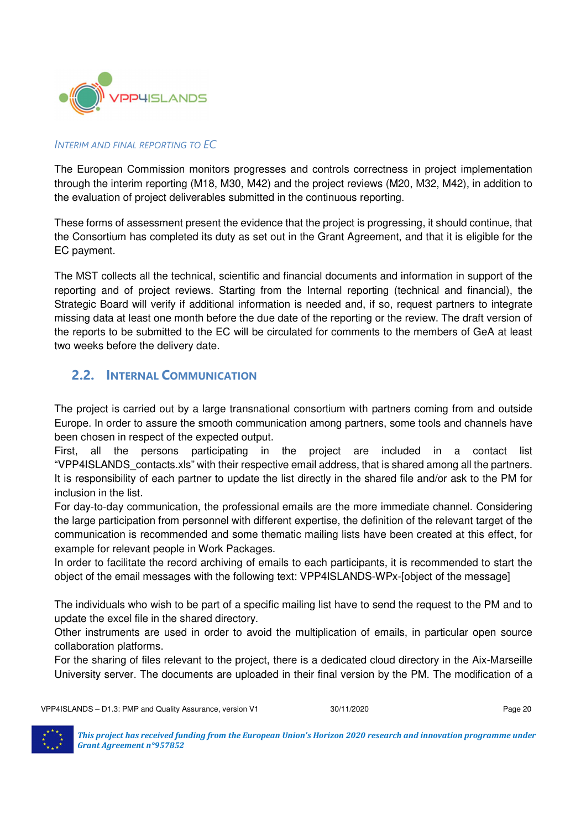

#### *INTERIM AND FINAL REPORTING TO EC*

The European Commission monitors progresses and controls correctness in project implementation through the interim reporting (M18, M30, M42) and the project reviews (M20, M32, M42), in addition to the evaluation of project deliverables submitted in the continuous reporting.

These forms of assessment present the evidence that the project is progressing, it should continue, that the Consortium has completed its duty as set out in the Grant Agreement, and that it is eligible for the EC payment.

The MST collects all the technical, scientific and financial documents and information in support of the reporting and of project reviews. Starting from the Internal reporting (technical and financial), the Strategic Board will verify if additional information is needed and, if so, request partners to integrate missing data at least one month before the due date of the reporting or the review. The draft version of the reports to be submitted to the EC will be circulated for comments to the members of GeA at least two weeks before the delivery date.

#### **2.2. INTERNAL COMMUNICATION**

The project is carried out by a large transnational consortium with partners coming from and outside Europe. In order to assure the smooth communication among partners, some tools and channels have been chosen in respect of the expected output.

First, all the persons participating in the project are included in a contact list "VPP4ISLANDS\_contacts.xls" with their respective email address, that is shared among all the partners. It is responsibility of each partner to update the list directly in the shared file and/or ask to the PM for inclusion in the list.

For day-to-day communication, the professional emails are the more immediate channel. Considering the large participation from personnel with different expertise, the definition of the relevant target of the communication is recommended and some thematic mailing lists have been created at this effect, for example for relevant people in Work Packages.

In order to facilitate the record archiving of emails to each participants, it is recommended to start the object of the email messages with the following text: VPP4ISLANDS-WPx-[object of the message]

The individuals who wish to be part of a specific mailing list have to send the request to the PM and to update the excel file in the shared directory.

Other instruments are used in order to avoid the multiplication of emails, in particular open source collaboration platforms.

For the sharing of files relevant to the project, there is a dedicated cloud directory in the Aix-Marseille University server. The documents are uploaded in their final version by the PM. The modification of a

VPP4ISLANDS – D1.3: PMP and Quality Assurance, version V1 30/11/2020 30/11/2020

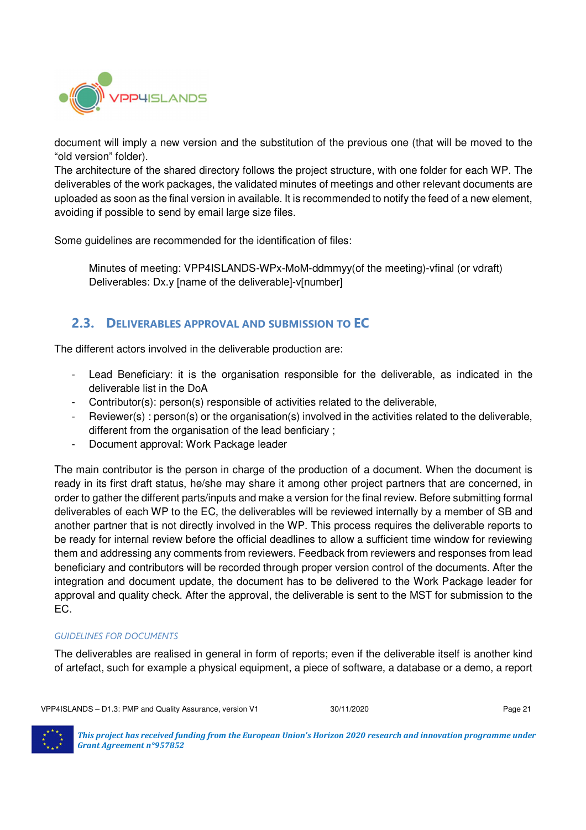

document will imply a new version and the substitution of the previous one (that will be moved to the "old version" folder).

The architecture of the shared directory follows the project structure, with one folder for each WP. The deliverables of the work packages, the validated minutes of meetings and other relevant documents are uploaded as soon as the final version in available. It is recommended to notify the feed of a new element, avoiding if possible to send by email large size files.

Some guidelines are recommended for the identification of files:

Minutes of meeting: VPP4ISLANDS-WPx-MoM-ddmmyy(of the meeting)-vfinal (or vdraft) Deliverables: Dx.y [name of the deliverable]-v[number]

#### **2.3. DELIVERABLES APPROVAL AND SUBMISSION TO EC**

The different actors involved in the deliverable production are:

- Lead Beneficiary: it is the organisation responsible for the deliverable, as indicated in the deliverable list in the DoA
- Contributor(s): person(s) responsible of activities related to the deliverable,
- Reviewer(s) : person(s) or the organisation(s) involved in the activities related to the deliverable, different from the organisation of the lead benficiary ;
- Document approval: Work Package leader

The main contributor is the person in charge of the production of a document. When the document is ready in its first draft status, he/she may share it among other project partners that are concerned, in order to gather the different parts/inputs and make a version for the final review. Before submitting formal deliverables of each WP to the EC, the deliverables will be reviewed internally by a member of SB and another partner that is not directly involved in the WP. This process requires the deliverable reports to be ready for internal review before the official deadlines to allow a sufficient time window for reviewing them and addressing any comments from reviewers. Feedback from reviewers and responses from lead beneficiary and contributors will be recorded through proper version control of the documents. After the integration and document update, the document has to be delivered to the Work Package leader for approval and quality check. After the approval, the deliverable is sent to the MST for submission to the EC.

#### *GUIDELINES FOR DOCUMENTS*

The deliverables are realised in general in form of reports; even if the deliverable itself is another kind of artefact, such for example a physical equipment, a piece of software, a database or a demo, a report

VPP4ISLANDS – D1.3: PMP and Quality Assurance, version V1 30/11/2020 30/11/2020

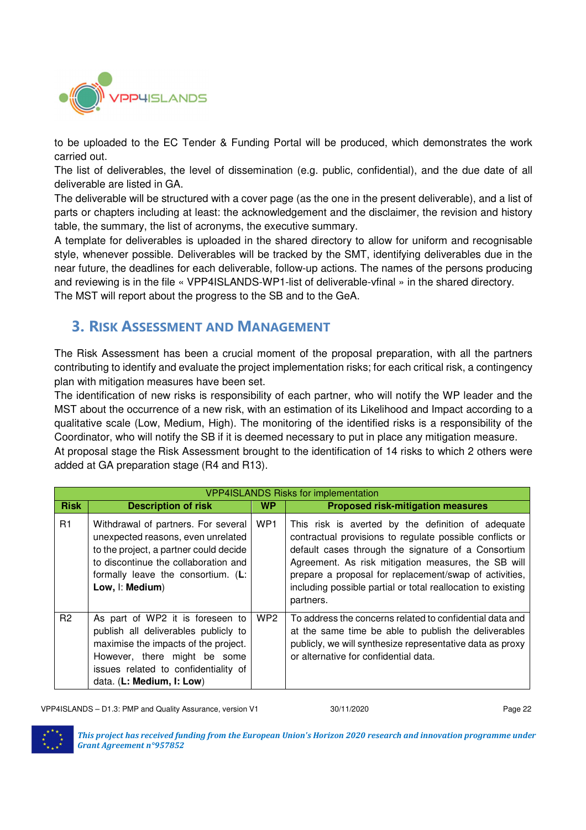

to be uploaded to the EC Tender & Funding Portal will be produced, which demonstrates the work carried out.

The list of deliverables, the level of dissemination (e.g. public, confidential), and the due date of all deliverable are listed in GA.

The deliverable will be structured with a cover page (as the one in the present deliverable), and a list of parts or chapters including at least: the acknowledgement and the disclaimer, the revision and history table, the summary, the list of acronyms, the executive summary.

A template for deliverables is uploaded in the shared directory to allow for uniform and recognisable style, whenever possible. Deliverables will be tracked by the SMT, identifying deliverables due in the near future, the deadlines for each deliverable, follow-up actions. The names of the persons producing and reviewing is in the file « VPP4ISLANDS-WP1-list of deliverable-vfinal » in the shared directory. The MST will report about the progress to the SB and to the GeA.

## **3. RISK ASSESSMENT AND MANAGEMENT**

The Risk Assessment has been a crucial moment of the proposal preparation, with all the partners contributing to identify and evaluate the project implementation risks; for each critical risk, a contingency plan with mitigation measures have been set.

The identification of new risks is responsibility of each partner, who will notify the WP leader and the MST about the occurrence of a new risk, with an estimation of its Likelihood and Impact according to a qualitative scale (Low, Medium, High). The monitoring of the identified risks is a responsibility of the Coordinator, who will notify the SB if it is deemed necessary to put in place any mitigation measure. At proposal stage the Risk Assessment brought to the identification of 14 risks to which 2 others were

added at GA preparation stage (R4 and R13).

|                |                                                                                                                                                                                                                       |                 | <b>VPP4ISLANDS Risks for implementation</b>                                                                                                                                                                                                                                                                                                                         |
|----------------|-----------------------------------------------------------------------------------------------------------------------------------------------------------------------------------------------------------------------|-----------------|---------------------------------------------------------------------------------------------------------------------------------------------------------------------------------------------------------------------------------------------------------------------------------------------------------------------------------------------------------------------|
| <b>Risk</b>    | <b>Description of risk</b>                                                                                                                                                                                            | WP              | <b>Proposed risk-mitigation measures</b>                                                                                                                                                                                                                                                                                                                            |
| R <sub>1</sub> | Withdrawal of partners. For several<br>unexpected reasons, even unrelated<br>to the project, a partner could decide<br>to discontinue the collaboration and<br>formally leave the consortium. (L:<br>Low, I: Medium)  | WP <sub>1</sub> | This risk is averted by the definition of adequate<br>contractual provisions to regulate possible conflicts or<br>default cases through the signature of a Consortium<br>Agreement. As risk mitigation measures, the SB will<br>prepare a proposal for replacement/swap of activities,<br>including possible partial or total reallocation to existing<br>partners. |
| R <sub>2</sub> | As part of WP2 it is foreseen to<br>publish all deliverables publicly to<br>maximise the impacts of the project.<br>However, there might be some<br>issues related to confidentiality of<br>data. (L: Medium, I: Low) | WP <sub>2</sub> | To address the concerns related to confidential data and<br>at the same time be able to publish the deliverables<br>publicly, we will synthesize representative data as proxy<br>or alternative for confidential data.                                                                                                                                              |

VPP4ISLANDS – D1.3: PMP and Quality Assurance, version V1 30/11/2020 30/11/2020

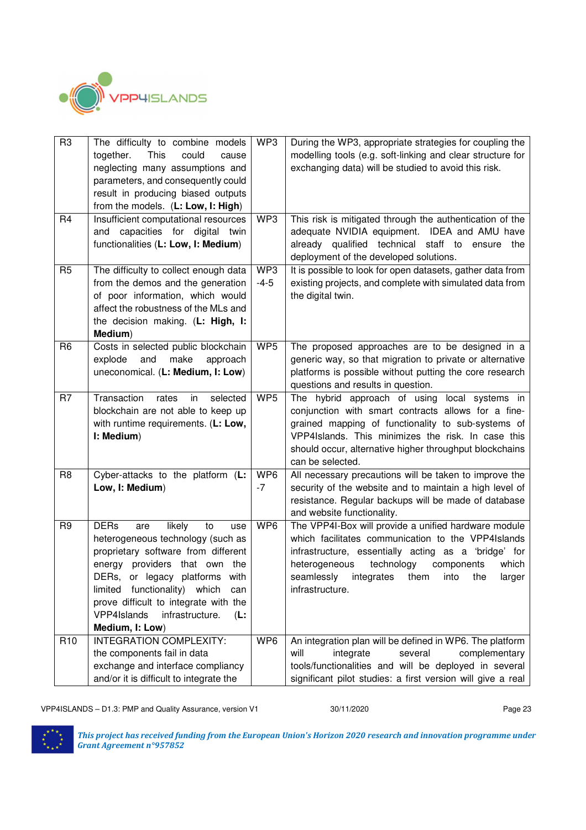

| R <sub>3</sub>  | The difficulty to combine models<br>could<br>together.<br>This<br>cause<br>neglecting many assumptions and<br>parameters, and consequently could<br>result in producing biased outputs<br>from the models. (L: Low, I: High)                                                                                                      | WP3             | During the WP3, appropriate strategies for coupling the<br>modelling tools (e.g. soft-linking and clear structure for<br>exchanging data) will be studied to avoid this risk.                                                                                                                   |
|-----------------|-----------------------------------------------------------------------------------------------------------------------------------------------------------------------------------------------------------------------------------------------------------------------------------------------------------------------------------|-----------------|-------------------------------------------------------------------------------------------------------------------------------------------------------------------------------------------------------------------------------------------------------------------------------------------------|
| R <sub>4</sub>  | Insufficient computational resources<br>capacities for digital twin<br>and<br>functionalities (L: Low, I: Medium)                                                                                                                                                                                                                 | WP3             | This risk is mitigated through the authentication of the<br>adequate NVIDIA equipment. IDEA and AMU have<br>already qualified technical<br>staff to ensure the<br>deployment of the developed solutions.                                                                                        |
| R <sub>5</sub>  | The difficulty to collect enough data<br>from the demos and the generation<br>of poor information, which would<br>affect the robustness of the MLs and<br>the decision making. (L: High, I:<br>Medium)                                                                                                                            | WP3<br>$-4-5$   | It is possible to look for open datasets, gather data from<br>existing projects, and complete with simulated data from<br>the digital twin.                                                                                                                                                     |
| R <sub>6</sub>  | Costs in selected public blockchain<br>and<br>make<br>explode<br>approach<br>uneconomical. (L: Medium, I: Low)                                                                                                                                                                                                                    | WP5             | The proposed approaches are to be designed in a<br>generic way, so that migration to private or alternative<br>platforms is possible without putting the core research<br>questions and results in question.                                                                                    |
| R7              | Transaction<br>rates<br>in<br>selected<br>blockchain are not able to keep up<br>with runtime requirements. (L: Low,<br>I: Medium)                                                                                                                                                                                                 | WP5             | The hybrid approach of using local systems in<br>conjunction with smart contracts allows for a fine-<br>grained mapping of functionality to sub-systems of<br>VPP4Islands. This minimizes the risk. In case this<br>should occur, alternative higher throughput blockchains<br>can be selected. |
| R <sub>8</sub>  | Cyber-attacks to the platform (L:<br>Low, I: Medium)                                                                                                                                                                                                                                                                              | WP6<br>$-7$     | All necessary precautions will be taken to improve the<br>security of the website and to maintain a high level of<br>resistance. Regular backups will be made of database<br>and website functionality.                                                                                         |
| R <sub>9</sub>  | <b>DERs</b><br>likely<br>to<br>are<br>use<br>heterogeneous technology (such as<br>proprietary software from different<br>energy providers that own the<br>DERs, or legacy platforms with<br>limited functionality) which can<br>prove difficult to integrate with the<br>VPP4Islands<br>infrastructure.<br>(L:<br>Medium, I: Low) | WP6             | The VPP4I-Box will provide a unified hardware module<br>which facilitates communication to the VPP4Islands<br>infrastructure, essentially acting as a 'bridge' for<br>technology<br>heterogeneous<br>components<br>which<br>seamlessly integrates them into the<br>larger<br>infrastructure.    |
| R <sub>10</sub> | <b>INTEGRATION COMPLEXITY:</b><br>the components fail in data<br>exchange and interface compliancy<br>and/or it is difficult to integrate the                                                                                                                                                                                     | WP <sub>6</sub> | An integration plan will be defined in WP6. The platform<br>will<br>integrate<br>several<br>complementary<br>tools/functionalities and will be deployed in several<br>significant pilot studies: a first version will give a real                                                               |

VPP4ISLANDS - D1.3: PMP and Quality Assurance, version V1 30/11/2020 30/11/2020

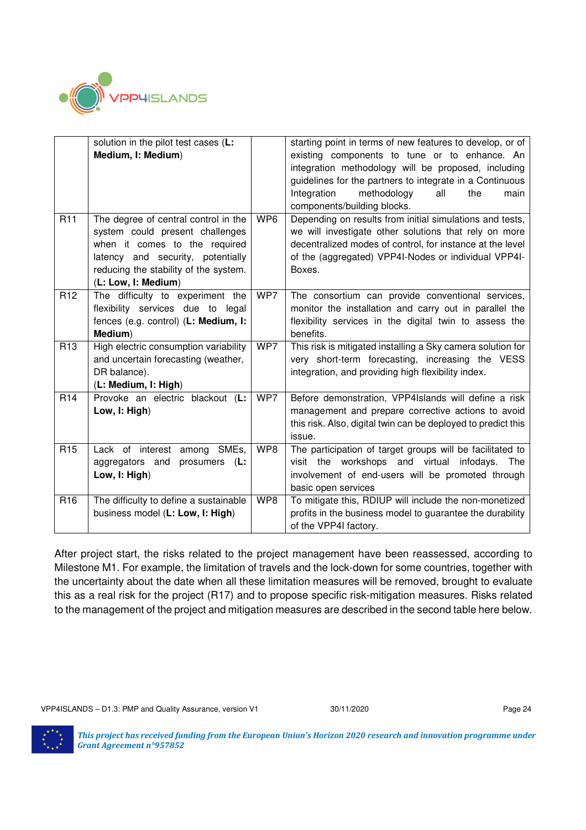

|                 | solution in the pilot test cases (L:<br>Medium, I: Medium)                                                                                                                                                    |     | starting point in terms of new features to develop, or of<br>existing components to tune or to enhance. An<br>integration methodology will be proposed, including<br>guidelines for the partners to integrate in a Continuous<br>Integration<br>methodology<br>all<br>the<br>main<br>components/building blocks. |
|-----------------|---------------------------------------------------------------------------------------------------------------------------------------------------------------------------------------------------------------|-----|------------------------------------------------------------------------------------------------------------------------------------------------------------------------------------------------------------------------------------------------------------------------------------------------------------------|
| R <sub>11</sub> | The degree of central control in the<br>system could present challenges<br>when it comes to the required<br>latency and security, potentially<br>reducing the stability of the system.<br>(L: Low, I: Medium) | WP6 | Depending on results from initial simulations and tests,<br>we will investigate other solutions that rely on more<br>decentralized modes of control, for instance at the level<br>of the (aggregated) VPP4I-Nodes or individual VPP4I-<br>Boxes.                                                                 |
| R <sub>12</sub> | The difficulty to experiment the<br>flexibility services due to legal<br>fences (e.g. control) (L: Medium, I:<br>Medium)                                                                                      | WP7 | The consortium can provide conventional services,<br>monitor the installation and carry out in parallel the<br>flexibility services in the digital twin to assess the<br>benefits.                                                                                                                               |
| R <sub>13</sub> | High electric consumption variability<br>and uncertain forecasting (weather,<br>DR balance).<br>(L: Medium, I: High)                                                                                          | WP7 | This risk is mitigated installing a Sky camera solution for<br>very short-term forecasting, increasing the VESS<br>integration, and providing high flexibility index.                                                                                                                                            |
| R <sub>14</sub> | Provoke an electric blackout (L:<br>Low, I: High)                                                                                                                                                             | WP7 | Before demonstration, VPP4Islands will define a risk<br>management and prepare corrective actions to avoid<br>this risk. Also, digital twin can be deployed to predict this<br>issue.                                                                                                                            |
| R <sub>15</sub> | Lack of interest among SMEs,<br>aggregators and<br>prosumers<br>(L:<br>Low, I: High)                                                                                                                          | WP8 | The participation of target groups will be facilitated to<br>visit the workshops and virtual<br>infodays.<br>The<br>involvement of end-users will be promoted through<br>basic open services                                                                                                                     |
| R <sub>16</sub> | The difficulty to define a sustainable<br>business model (L: Low, I: High)                                                                                                                                    | WP8 | To mitigate this, RDIUP will include the non-monetized<br>profits in the business model to guarantee the durability<br>of the VPP4I factory.                                                                                                                                                                     |

After project start, the risks related to the project management have been reassessed, according to Milestone M1. For example, the limitation of travels and the lock-down for some countries, together with the uncertainty about the date when all these limitation measures will be removed, brought to evaluate this as a real risk for the project (R17) and to propose specific risk-mitigation measures. Risks related to the management of the project and mitigation measures are described in the second table here below.

VPP4ISLANDS - D1.3: PMP and Quality Assurance, version V1 30/11/2020 30/11/2020